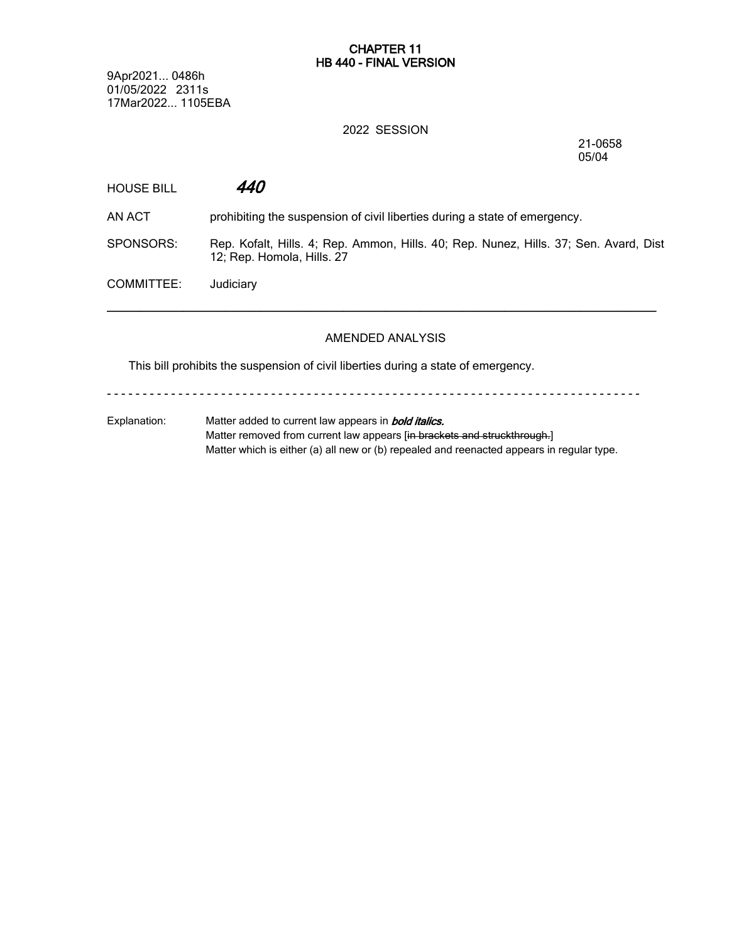#### **CHAPTER 11 HB 440 - FINAL VERSION**

9Apr2021... 0486h 01/05/2022 2311s 17Mar2022... 1105EBA

#### 2022 SESSION

21-0658 05/04

| <b>HOUSE BILL</b> | <i>440</i>                                                                                                          |
|-------------------|---------------------------------------------------------------------------------------------------------------------|
| AN ACT            | prohibiting the suspension of civil liberties during a state of emergency.                                          |
| SPONSORS:         | Rep. Kofalt, Hills. 4; Rep. Ammon, Hills. 40; Rep. Nunez, Hills. 37; Sen. Avard, Dist<br>12; Rep. Homola, Hills. 27 |
| COMMITTEE:        | Judiciary                                                                                                           |

## AMENDED ANALYSIS

This bill prohibits the suspension of civil liberties during a state of emergency.

- - - - - - - - - - - - - - - - - - - - - - - - - - - - - - - - - - - - - - - - - - - - - - - - - - - - - - - - - - - - - - - - - - - - - - - - - - -

Explanation: Matter added to current law appears in *bold italics.* Matter removed from current law appears [in brackets and struckthrough.] Matter which is either (a) all new or (b) repealed and reenacted appears in regular type.